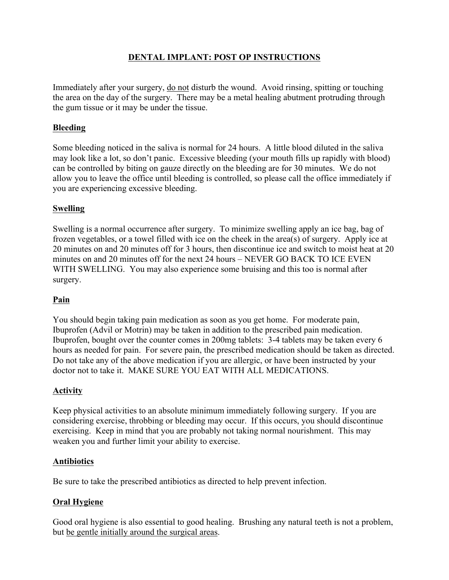# **DENTAL IMPLANT: POST OP INSTRUCTIONS**

Immediately after your surgery, do not disturb the wound. Avoid rinsing, spitting or touching the area on the day of the surgery. There may be a metal healing abutment protruding through the gum tissue or it may be under the tissue.

## **Bleeding**

Some bleeding noticed in the saliva is normal for 24 hours. A little blood diluted in the saliva may look like a lot, so don't panic. Excessive bleeding (your mouth fills up rapidly with blood) can be controlled by biting on gauze directly on the bleeding are for 30 minutes. We do not allow you to leave the office until bleeding is controlled, so please call the office immediately if you are experiencing excessive bleeding.

### **Swelling**

Swelling is a normal occurrence after surgery. To minimize swelling apply an ice bag, bag of frozen vegetables, or a towel filled with ice on the cheek in the area(s) of surgery. Apply ice at 20 minutes on and 20 minutes off for 3 hours, then discontinue ice and switch to moist heat at 20 minutes on and 20 minutes off for the next 24 hours – NEVER GO BACK TO ICE EVEN WITH SWELLING. You may also experience some bruising and this too is normal after surgery.

#### **Pain**

You should begin taking pain medication as soon as you get home. For moderate pain, Ibuprofen (Advil or Motrin) may be taken in addition to the prescribed pain medication. Ibuprofen, bought over the counter comes in 200mg tablets: 3-4 tablets may be taken every 6 hours as needed for pain. For severe pain, the prescribed medication should be taken as directed. Do not take any of the above medication if you are allergic, or have been instructed by your doctor not to take it. MAKE SURE YOU EAT WITH ALL MEDICATIONS.

## **Activity**

Keep physical activities to an absolute minimum immediately following surgery. If you are considering exercise, throbbing or bleeding may occur. If this occurs, you should discontinue exercising. Keep in mind that you are probably not taking normal nourishment. This may weaken you and further limit your ability to exercise.

#### **Antibiotics**

Be sure to take the prescribed antibiotics as directed to help prevent infection.

#### **Oral Hygiene**

Good oral hygiene is also essential to good healing. Brushing any natural teeth is not a problem, but be gentle initially around the surgical areas.